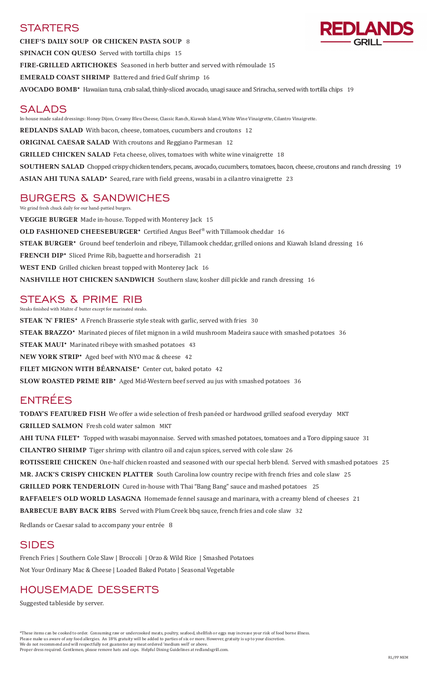### **STARTERS**

**CHEF'S DAILY SOUP OR CHICKEN PASTA SOUP** 8 **SPINACH CON QUESO** Served with tortilla chips 15 **FIRE-GRILLED ARTICHOKES** Seasoned in herb butter and served with rémoulade 15 **EMERALD COAST SHRIMP** Battered and fried Gulf shrimp16 **AVOCADO BOMB\*** Hawaiian tuna, crab salad, thinly-sliced avocado, unagi sauce and Sriracha, served with tortilla chips 19

**REDLANDS SALAD** With bacon, cheese, tomatoes, cucumbers and croutons 12 **ORIGINAL CAESAR SALAD** With croutons and Reggiano Parmesan 12 **GRILLED CHICKEN SALAD** Feta cheese, olives, tomatoes with white wine vinaigrette 18

**SOUTHERN SALAD** Chopped crispy chicken tenders, pecans, avocado, cucumbers, tomatoes, bacon, cheese, croutons and ranch dressing 19

# SALADS

In-house made salad dressings: Honey Dijon, Creamy Bleu Cheese, Classic Ranch, Kiawah Island, White Wine Vinaigrette, Cilantro Vinaigrette.

**ASIAN AHI TUNA SALAD\*** Seared, rare with field greens, wasabi in a cilantro vinaigrette 23

# BURGERS & SANDWICHES

We grind fresh chuck daily for our hand-pattied burgers.

**VEGGIE BURGER** Made in-house. Topped with Monterey Jack 15 **OLD FASHIONED CHEESEBURGER\*** Certified Angus Beef® with Tillamook cheddar 16 **STEAK BURGER\*** Ground beef tenderloin and ribeye, Tillamook cheddar, grilled onions and Kiawah Island dressing 16 **FRENCH DIP\*** Sliced Prime Rib, baguette and horseradish 21 **WEST END** Grilled chicken breast topped with Monterey Jack 16 **NASHVILLE HOT CHICKEN SANDWICH** Southern slaw, kosher dill pickle and ranch dressing 16

## STEAKS & PRIME RIB

Steaks finished with Maître d' butter except for marinated steaks.

**STEAK 'N' FRIES\*** A French Brasserie style steak with garlic, served with fries 30 **STEAK BRAZZO\*** Marinated pieces of filet mignon in a wild mushroom Madeira sauce with smashed potatoes 36 **STEAK MAUI\*** Marinated ribeye with smashed potatoes 43 **NEW YORK STRIP\*** Aged beef with NYO mac & cheese 42 **FILET MIGNON WITH BÉARNAISE\*** Center cut, baked potato 42 **SLOW ROASTED PRIME RIB\*** Aged Mid-Western beef served au jus with smashed potatoes 36

# ENTRÉES

**TODAY'S FEATURED FISH** We offer a wide selection of fresh panéed or hardwood grilled seafood everyday MKT **GRILLED SALMON** Fresh cold water salmon MKT **AHI TUNA FILET\*** Topped with wasabi mayonnaise. Served with smashed potatoes, tomatoes and a Toro dipping sauce 31 **CILANTRO SHRIMP** Tiger shrimp with cilantro oil and cajun spices, served with cole slaw 26 **ROTISSERIE CHICKEN** One-half chicken roasted and seasoned with our special herb blend. Served with smashed potatoes 25 **MR. JACK'S CRISPY CHICKEN PLATTER** South Carolina low country recipe with french fries and cole slaw 25 **GRILLED PORK TENDERLOIN** Cured in-house with Thai "Bang Bang" sauce and mashed potatoes 25



**RAFFAELE'S OLD WORLD LASAGNA** Homemade fennel sausage and marinara, with a creamy blend of cheeses 21 **BARBECUE BABY BACK RIBS** Served with Plum Creek bbq sauce, french fries and cole slaw 32

Redlands or Caesar salad to accompany your entrée 8

### SIDES

French Fries | Southern Cole Slaw | Broccoli | Orzo & Wild Rice | Smashed Potatoes

Not Your Ordinary Mac & Cheese | Loaded Baked Potato | Seasonal Vegetable

### HOUSEMADE DESSERTS

Suggested tableside by server.

\*These items can be cooked to order. Consuming raw or undercooked meats, poultry, seafood, shellfish or eggs may increase your risk of food borne illness. Please make us aware of any food allergies. An 18% gratuity will be added to parties of six or more. However, gratuity is up to your discretion. We do not recommend and will respectfully not guarantee any meat ordered 'medium well' or above. Proper dress required. Gentlemen, please remove hats and caps. Helpful Dining Guidelines at redlandsgrill.com.